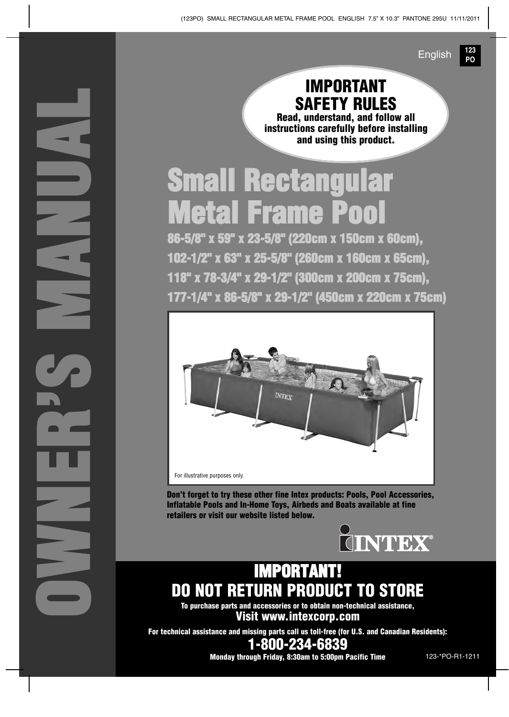**123 PO** English

### **IMPORTANT SAFETY RULES**

**Read, understand, and follow all instructions carefully before installing and using this product.**

# **Small Rectangular Metal Frame Pool**

**86-5/8" x 59" x 23-5/8" (220cm x 150cm x 60cm), 102-1/2" x 63" x 25-5/8" (260cm x 160cm x 65cm), 118" x 78-3/4" x 29-1/2" (300cm x 200cm x 75cm), 177-1/4" x 86-5/8" x 29-1/2" (450cm x 220cm x 75cm)** 



**Don't forget to try these other fine Intex products: Pools, Pool Accessories, Inflatable Pools and In-Home Toys, Airbeds and Boats available at fine retailers or visit our website listed below.**



### **IMPORTANT! DO NOT RETURN PRODUCT TO STORE**

**To purchase parts and accessories or to obtain non-technical assistance, Visit www.intexcorp.com**

**O**

**W**

**N**

**E**

**R**

**S M**

**A**

**N**

**U**

**A**

**L**

**'**

**For technical assistance and missing parts call us toll-free (for U.S. and Canadian Residents):**

**1-800-234-6839**

**Monday through Friday, 8:30am to 5:00pm Pacific Time** 123-\*PO-R1-1211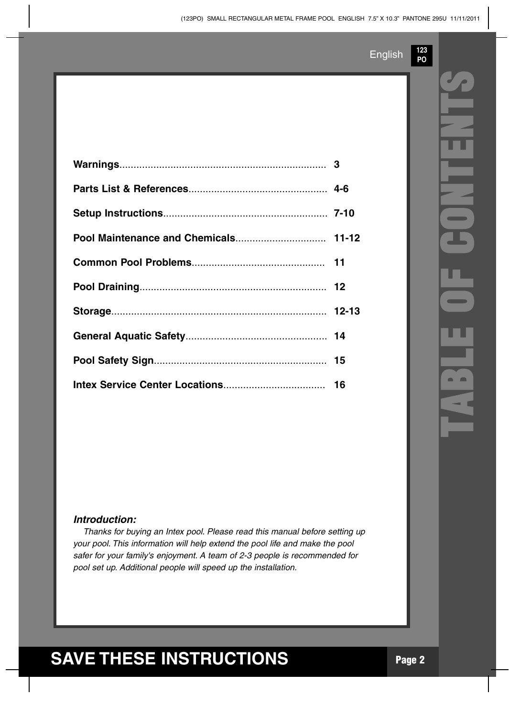**123 PO**

#### *Introduction:*

*Thanks for buying an Intex pool. Please read this manual before setting up your pool. This information will help extend the pool life and make the pool safer for your family's enjoyment. A team of 2-3 people is recommended for pool set up. Additional people will speed up the installation.*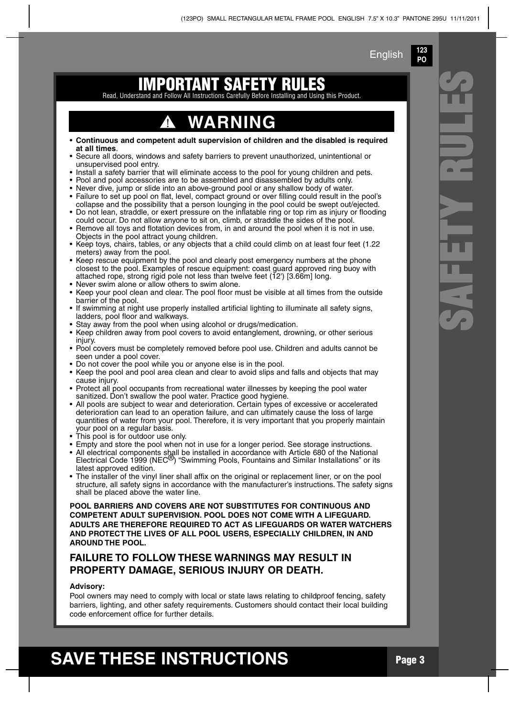**123 PO**

#### **IMPORTANT SAFET ETY RULES**<br>Before Installing and Using

Read, Understand and Follow All Inst ruc tions Ca refu lly

### **WARNING**

- **Continuous and competent adult supervision of children and the disabled is required at all times**.
- Secure all doors, windows and safety barriers to prevent unauthorized, unintentional or unsupervised pool entry.
- Install a safety barrier that will eliminate access to the pool for young children and pets.
- Pool and pool accessories are to be assembled and disassembled by adults only.
- Never dive, jump or slide into an above-ground pool or any shallow body of water.
- Failure to set up pool on flat, level, compact ground or over filling could result in the pool's collapse and the possibility that a person lounging in the pool could be swept out/ejected.
- Do not lean, straddle, or exert pressure on the inflatable ring or top rim as injury or flooding could occur. Do not allow anyone to sit on, climb, or straddle the sides of the pool.
- Remove all toys and flotation devices from, in and around the pool when it is not in use. Objects in the pool attract young children.
- Keep toys, chairs, tables, or any objects that a child could climb on at least four feet (1.22 meters) away from the pool.
- Keep rescue equipment by the pool and clearly post emergency numbers at the phone closest to the pool. Examples of rescue equipment: coast guard approved ring buoy with attached rope, strong rigid pole not less than twelve feet  $(12')$  [3.66m] long.
- Never swim alone or allow others to swim alone.
- Keep your pool clean and clear. The pool floor must be visible at all times from the outside barrier of the pool.
- If swimming at night use properly installed artificial lighting to illuminate all safety signs, ladders, pool floor and walkways.
- Stay away from the pool when using alcohol or drugs/medication.
- Keep children away from pool covers to avoid entanglement, drowning, or other serious injury.
- Pool covers must be completely removed before pool use. Children and adults cannot be seen under a pool cover.
- Do not cover the pool while you or anyone else is in the pool.
- Keep the pool and pool area clean and clear to avoid slips and falls and objects that may cause injury.
- Protect all pool occupants from recreational water illnesses by keeping the pool water sanitized. Don't swallow the pool water. Practice good hygiene.
- All pools are subject to wear and deterioration. Certain types of excessive or accelerated deterioration can lead to an operation failure, and can ultimately cause the loss of large quantities of water from your pool. Therefore, it is very important that you properly maintain your pool on a regular basis.
- This pool is for outdoor use only.
- Empty and store the pool when not in use for a longer period. See storage instructions.
- $\bullet$  All electrical components shall be installed in accordance with Article 680 of the National<br>Electrical Code 1999 (NEC<sup>®</sup>) "Swimming Pools, Fountains and Similar Installations" or its latest approved edition.
- The installer of the vinyl liner shall affix on the original or replacement liner, or on the pool structure, all safety signs in accordance with the manufacturer's instructions. The safety signs shall be placed above the water line.

**POOL BARRIERS AND COVERS ARE NOT SUBSTITUTES FOR CONTINUOUS AND COMPETENT ADULT SUPERVISION. POOL DOES NOT COME WITH A LIFEGUARD. ADULTS ARE THEREFORE REQUIRED TO ACT AS LIFEGUARDS OR WATER WATCHERS AND PROTECT THE LIVES OF ALL POOL USERS, ESPECIALLY CHILDREN, IN AND AROUND THE POOL.**

#### **FAILURE TO FOLLOW THESE WARNINGS MAY RESULT IN PROPERTY DAMAGE, SERIOUS INJURY OR DEATH.**

#### **Advisory:**

Pool owners may need to comply with local or state laws relating to childproof fencing, safety barriers, lighting, and other safety requirements. Customers should contact their local building code enforcement office for further details.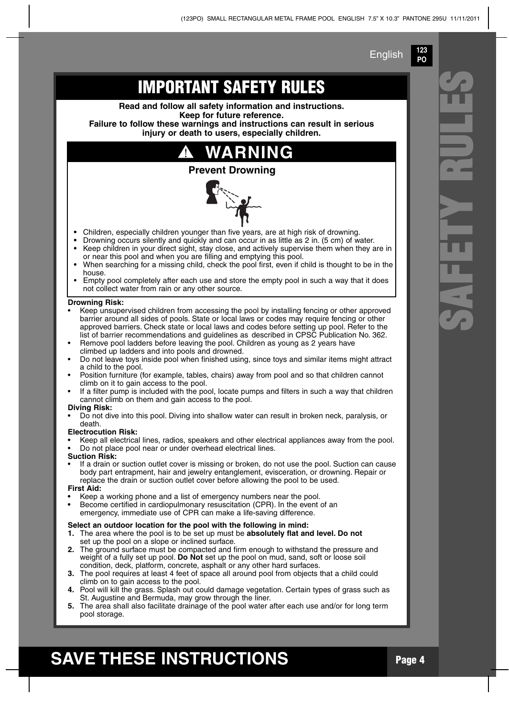**123 PO**

**S**

**A**

**F**

**E**

**T**

**Y R**

**U**

**L**

**E**

**S**

### **IMPORTANT SAFETY RULES**

**Read and follow all safety information and instructions. Keep for future reference.**

**Failure to follow these warnings and instructions can result in serious injury or death to users, especially children.**

### **WARNING**

#### **Prevent Drowning**



- **•** Children, especially children younger than five years, are at high risk of drowning.
- **•** Drowning occurs silently and quickly and can occur in as little as 2 in. (5 cm) of water.
- **•** Keep children in your direct sight, stay close, and actively supervise them when they are in or near this pool and when you are filling and emptying this pool.
- **•** When searching for a missing child, check the pool first, even if child is thought to be in the house.
- Empty pool completely after each use and store the empty pool in such a way that it does not collect water from rain or any other source.

#### **Drowning Risk:**

- Keep unsupervised children from accessing the pool by installing fencing or other approved barrier around all sides of pools. State or local laws or codes may require fencing or other approved barriers. Check state or local laws and codes before setting up pool. Refer to the list of barrier recommendations and guidelines as described in CPSC Publication No. 362.
- Remove pool ladders before leaving the pool. Children as young as 2 years have climbed up ladders and into pools and drowned.
- Do not leave toys inside pool when finished using, since toys and similar items might attract a child to the pool.
- Position furniture (for example, tables, chairs) away from pool and so that children cannot climb on it to gain access to the pool.
- If a filter pump is included with the pool, locate pumps and filters in such a way that children cannot climb on them and gain access to the pool.

#### **Diving Risk:**

• Do not dive into this pool. Diving into shallow water can result in broken neck, paralysis, or death.

#### **Electrocution Risk:**

• Keep all electrical lines, radios, speakers and other electrical appliances away from the pool. • Do not place pool near or under overhead electrical lines.

#### **Suction Risk:**

• If a drain or suction outlet cover is missing or broken, do not use the pool. Suction can cause body part entrapment, hair and jewelry entanglement, evisceration, or drowning. Repair or replace the drain or suction outlet cover before allowing the pool to be used.

#### **First Aid:**

- **•** Keep a working phone and a list of emergency numbers near the pool.
- **•** Become certified in cardiopulmonary resuscitation (CPR). In the event of an

#### emergency, immediate use of CPR can make a life-saving difference.

#### **Select an outdoor location for the pool with the following in mind:**

- **1.** The area where the pool is to be set up must be **absolutely flat and level. Do not** set up the pool on a slope or inclined surface.
- **2.** The ground surface must be compacted and firm enough to withstand the pressure and weight of a fully set up pool. **Do Not** set up the pool on mud, sand, soft or loose soil condition, deck, platform, concrete, asphalt or any other hard surfaces.
- **3.** The pool requires at least 4 feet of space all around pool from objects that a child could climb on to gain access to the pool.
- **4.** Pool will kill the grass. Splash out could damage vegetation. Certain types of grass such as St. Augustine and Bermuda, may grow through the liner.
- **5.** The area shall also facilitate drainage of the pool water after each use and/or for long term pool storage.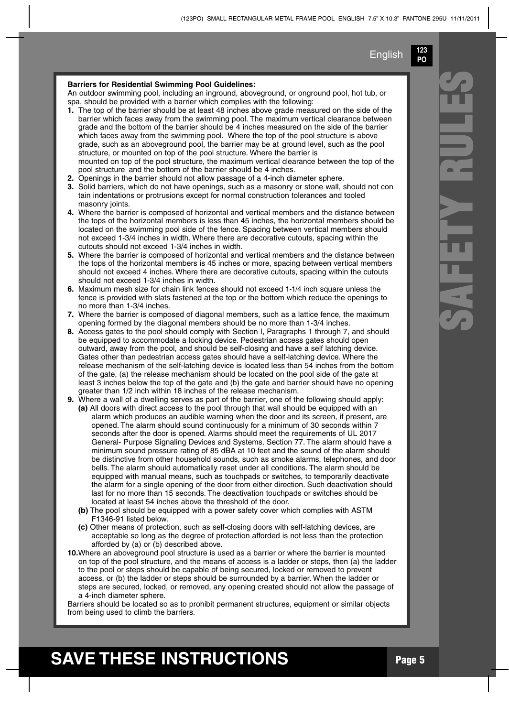**123 PO**

#### Barriers for Residential Swimming Pool Guidelines:

An outdoor swimming pool, including an inground, aboveground, or onground pool, hot tub, or spa, should be provided with a barrier which complies with the following:

- **1.** The top of the barrier should be at least 48 inches above grade measured on the side of the barrier which faces away from the swimming pool. The maximum vertical clearance between grade and the bottom of the barrier should be 4 inches measured on the side of the barrier which faces away from the swimming pool. Where the top of the pool structure is above grade, such as an aboveground pool, the barrier may be at ground level, such as the pool structure, or mounted on top of the pool structure. Where the barrier is mounted on top of the pool structure, the maximum vertical clearance between the top of the pool structure and the bottom of the barrier should be 4 inches.
- **2.** Openings in the barrier should not allow passage of a 4-inch diameter sphere.
- **3.** Solid barriers, which do not have openings, such as a masonry or stone wall, should not con tain indentations or protrusions except for normal construction tolerances and tooled masonry joints.
- **4.** Where the barrier is composed of horizontal and vertical members and the distance between the tops of the horizontal members is less than 45 inches, the horizontal members should be located on the swimming pool side of the fence. Spacing between vertical members should not exceed 1-3/4 inches in width. Where there are decorative cutouts, spacing within the cutouts should not exceed 1-3/4 inches in width.
- **5.** Where the barrier is composed of horizontal and vertical members and the distance between the tops of the horizontal members is 45 inches or more, spacing between vertical members should not exceed 4 inches. Where there are decorative cutouts, spacing within the cutouts should not exceed 1-3/4 inches in width.
- **6.** Maximum mesh size for chain link fences should not exceed 1-1/4 inch square unless the fence is provided with slats fastened at the top or the bottom which reduce the openings to no more than 1-3/4 inches.
- **7.** Where the barrier is composed of diagonal members, such as a lattice fence, the maximum opening formed by the diagonal members should be no more than 1-3/4 inches.
- **8.** Access gates to the pool should comply with Section I, Paragraphs 1 through 7, and should be equipped to accommodate a locking device. Pedestrian access gates should open outward, away from the pool, and should be self-closing and have a self latching device. Gates other than pedestrian access gates should have a self-latching device. Where the release mechanism of the self-latching device is located less than 54 inches from the bottom of the gate, (a) the release mechanism should be located on the pool side of the gate at least 3 inches below the top of the gate and (b) the gate and barrier should have no opening greater than 1/2 inch within 18 inches of the release mechanism.
- **9.** Where a wall of a dwelling serves as part of the barrier, one of the following should apply: **(a)** All doors with direct access to the pool through that wall should be equipped with an alarm which produces an audible warning when the door and its screen, if present, are opened. The alarm should sound continuously for a minimum of 30 seconds within 7 seconds after the door is opened. Alarms should meet the requirements of UL 2017 General- Purpose Signaling Devices and Systems, Section 77. The alarm should have a minimum sound pressure rating of 85 dBA at 10 feet and the sound of the alarm should be distinctive from other household sounds, such as smoke alarms, telephones, and door bells. The alarm should automatically reset under all conditions. The alarm should be equipped with manual means, such as touchpads or switches, to temporarily deactivate the alarm for a single opening of the door from either direction. Such deactivation should last for no more than 15 seconds. The deactivation touchpads or switches should be located at least 54 inches above the threshold of the door.
	- **(b)** The pool should be equipped with a power safety cover which complies with ASTM F1346-91 listed below.
	- **(c)** Other means of protection, such as self-closing doors with self-latching devices, are acceptable so long as the degree of protection afforded is not less than the protection afforded by (a) or (b) described above.
- **10.**Where an aboveground pool structure is used as a barrier or where the barrier is mounted on top of the pool structure, and the means of access is a ladder or steps, then (a) the ladder to the pool or steps should be capable of being secured, locked or removed to prevent access, or (b) the ladder or steps should be surrounded by a barrier. When the ladder or steps are secured, locked, or removed, any opening created should not allow the passage of a 4-inch diameter sphere.

Barriers should be located so as to prohibit permanent structures, equipment or similar objects from being used to climb the barriers.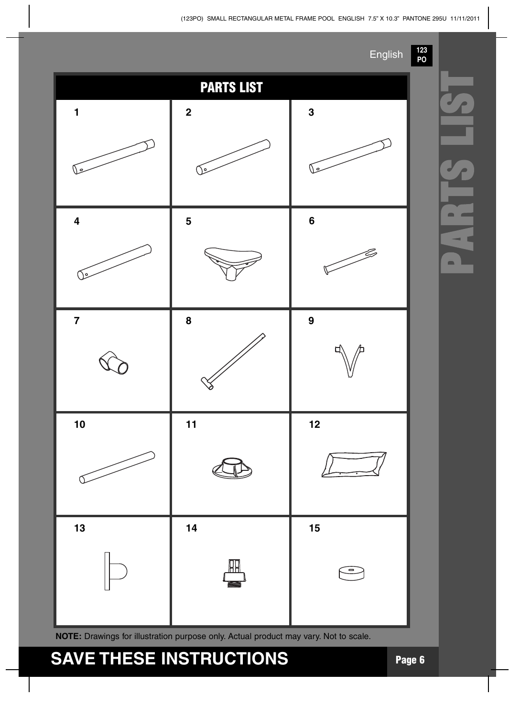#### (123PO) SMALL RECTANGULAR METAL FRAME POOL ENGLISH 7.5" X 10.3" PANTONE 295U 11/11/2011

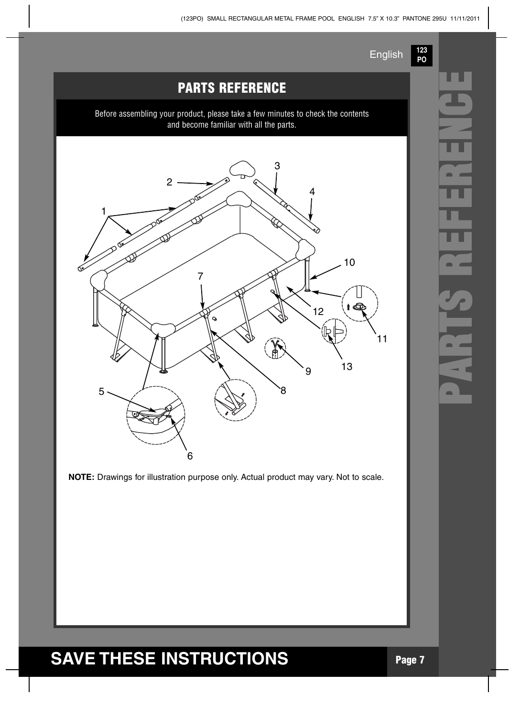**123 PO**

### **PARTS REFERENCE E**

Before assembling your product, please take a few minutes to check the contents and become familiar with all the parts.



**NOTE:** Drawings for illustration purpose only. Actual product may vary. Not to scale.

# **RTS R EFERENC**

**P**

**A**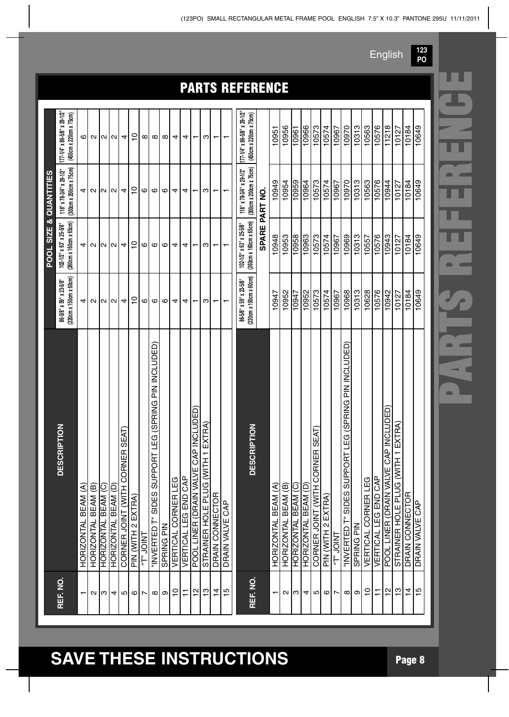|                |                                                             |                          |                     |                     |                     |                                       |                    |           |                                                        |            |                     |                      |                         |                                                                                    |                         |                          | <b>PARTS REFERENCE</b>                                      |                |                          |                     |                        |                     |                                        |                    |                |                                                             |            |                            |                      |                                       |                                                        |                |                                  |  |
|----------------|-------------------------------------------------------------|--------------------------|---------------------|---------------------|---------------------|---------------------------------------|--------------------|-----------|--------------------------------------------------------|------------|---------------------|----------------------|-------------------------|------------------------------------------------------------------------------------|-------------------------|--------------------------|-------------------------------------------------------------|----------------|--------------------------|---------------------|------------------------|---------------------|----------------------------------------|--------------------|----------------|-------------------------------------------------------------|------------|----------------------------|----------------------|---------------------------------------|--------------------------------------------------------|----------------|----------------------------------|--|
|                | 177-1/4" x 86-5/8" x 29-1/2"<br>(450cm x 220cm x 75cm)      | ဖ                        | $\mathbf{a}$        | $\sim$              | $\sim$              | 4                                     | $\overline{C}$     | ∞         | $\infty$                                               | $\infty$   | 4                   | 4                    | $\mathrel{\mathsf{--}}$ | ო                                                                                  | $\mathrel{\mathsf{--}}$ |                          | $177 - 1/4$ " x 86-5/8" x 29-1/2"<br>(450cm x 220cm x 75cm) |                | 10951                    | 10956               | 10961                  | 10966               | 10573                                  | 10574              | 10967          | 10970                                                       | 10313      | 10563                      | 10576                | 11218                                 | 10127                                                  | 10184          | 10649                            |  |
| QUANTITIES     | (300cm x 200cm x 75cm)<br>$118"$ x 78-3/4" x 29-1/2"        | 4                        | $\sim$              | И                   | N                   | 4                                     | $\tilde{c}$        | ဖ         | ဖ                                                      | ဖ          | 4                   | 4                    |                         | ω                                                                                  | ↽                       | $\mathbf{\tau}$          | (300cm x 200cm x 75cm)<br>$118"$ x 78-3/4" x 29-1/2"        | SPARE PART NO. | 10949                    | 10954               | 10959                  | 10964               | 10573                                  | 10574              | 10967          | 10970                                                       | 10313      | 10563                      | 10576                | 10944                                 | 10127                                                  | 10184          | 10649                            |  |
| SIZE &<br>POOL | (260cm x 160cm x 65cm)<br>$102 - 1/2$ " x 63" x 25-5/8"     | 4                        | $\sim$              |                     | 10 IN               | 4                                     | $\overline{C}$     | ဖ         | G                                                      | G          | 4                   | 4                    |                         | ო                                                                                  | $\mathbf{\tau}$         | $\mathbf -$              | (260cm x 160cm x 65cm)<br>102-1/2" x 63" x 25-5/8"          |                | 10948                    | 10953               | 10958                  | 10963               | 10573                                  | 10574              | 10967          | 10969                                                       | 10313      | 10557                      | 10576                | 10943                                 | 10127                                                  | 10184          | 10649                            |  |
|                | $220cm \times 150cm \times 60cm$<br>86-5/8" x 59" x 23-5/8" | 4                        | N                   | N                   | $\mathbf{\Omega}$   | 4                                     | $\tilde{c}$        | ဖ         | $\circ$                                                | G          | 4                   | 4                    | ↽                       | ω                                                                                  | $\mathbf -$             | $\overline{\phantom{0}}$ | (220cm x 150cm x 60cm)<br>86-5/8" x 59" x 23-5/8"           |                | 10947                    | 10952               | 10947                  | 10952               | 10573                                  | 10574              | 10967          | 10968                                                       | 10313      | 10628                      | 10576                | 10942                                 | 10127                                                  | 10184          | 10649                            |  |
|                | RIPTION<br><b>DESCI</b>                                     | HORIZONTAL BEAM (A)      | HORIZONTAL BEAM (B) | HORIZONTAL BEAM (C) | HORIZONTAL BEAM (D) | R SEAT<br>CORNE<br>CORNER JOINT (WITH | PIN (WITH 2 EXTRA) | TNIOL "T" | LEG (SPRING PIN INCLUDED)<br>"INVERTED T" SIDES SUPPOR | SPRING PIN | VERTICAL CORNER LEG | VERTICAL LEG END CAP | P INCLUDED)<br>රි       | EXTRA)<br>$\overline{a}$<br><u>HIM) ONTI ENGEN MATA S</u><br>DOOT TIMEB (DBVM MYDO | DRAIN CONNECTOR         | DRAIN VALVE CAP          | <b>RIPTION</b><br><b>DESCI</b>                              |                | HORIZONTAL BEAM (A)      | HORIZONTAL BEAM (B) | HORIZONTAL BEAM (C)    | HORIZONTAL BEAM (D) | R SEAT)<br>CORNE<br>CORNER JOINT (WITH | PIN (WITH 2 EXTRA) | TNIOL "T"      | (SPRING PIN INCLUDED)<br>T LEG<br>"INVERTED T" SIDES SUPPOR | SPRING PIN | <b>VERTICAL CORNER LEG</b> | VERTICAL LEG END CAP | POOL LINER (DRAIN VALVE CAP INCLUDED) | 1 EXTRA<br>STRAINER HOLE PLUG (WITH<br>DRAIN CONNECTOR |                | <b>CAP</b><br><b>DRAIN VALVE</b> |  |
|                | REF. NO.                                                    | $\overline{\phantom{0}}$ |                     | ∾∣ಌ∣                | 4                   | ம                                     |                    | ∞l ⊳      | $\infty$                                               | ၜ          | $\frac{1}{2}$       | Ξ                    | 위                       | 13                                                                                 | $\frac{1}{4}$           | $\frac{15}{2}$           | REF. NO.                                                    |                | $\overline{\phantom{m}}$ |                     | $\omega$   $\omega$  4 |                     | ம                                      | $\circ$            | $\overline{ }$ | $\infty$                                                    | $\infty$   | $\tilde{c}$                | Ξ                    | 으                                     | $\frac{1}{2}$                                          | $\overline{4}$ | Ю                                |  |

# **SAVE THESE INSTRUCTIONS Page <sup>8</sup>**

**123 PO** English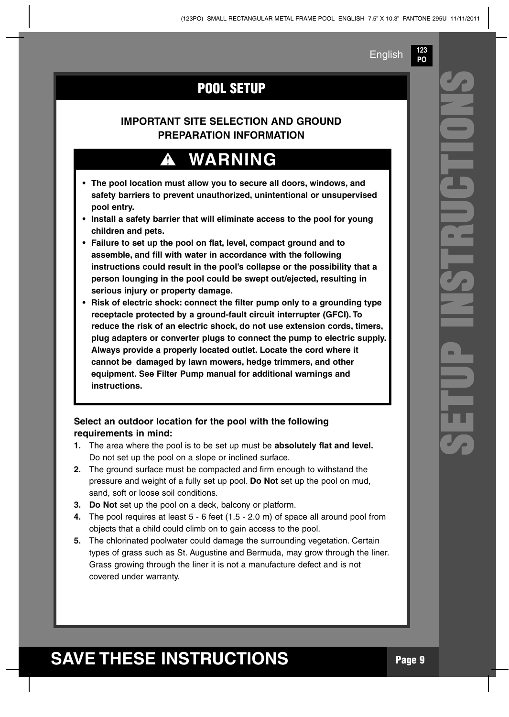**123 PO**

### **POOL SETUP**

#### **IMPORTANT SITE SELECTION AND GROUND PREPARATION INFORMATION**

## **WARNING**

- **• The pool location must allow you to secure all doors, windows, and safety barriers to prevent unauthorized, unintentional or unsupervised pool entry.**
- **• Install a safety barrier that will eliminate access to the pool for young children and pets.**
- **• Failure to set up the pool on flat, level, compact ground and to assemble, and fill with water in accordance with the following instructions could result in the pool's collapse or the possibility that a person lounging in the pool could be swept out/ejected, resulting in serious injury or property damage.**
- **• Risk of electric shock: connect the filter pump only to a grounding type receptacle protected by a ground-fault circuit interrupter (GFCI). To reduce the risk of an electric shock, do not use extension cords, timers, plug adapters or converter plugs to connect the pump to electric supply. Always provide a properly located outlet. Locate the cord where it cannot be damaged by lawn mowers, hedge trimmers, and other equipment. See Filter Pump manual for additional warnings and instructions.**

#### **Select an outdoor location for the pool with the following requirements in mind:**

- **1.** The area where the pool is to be set up must be **absolutely flat and level.** Do not set up the pool on a slope or inclined surface.
- **2.** The ground surface must be compacted and firm enough to withstand the pressure and weight of a fully set up pool. **Do Not** set up the pool on mud, sand, soft or loose soil conditions.
- **3. Do Not** set up the pool on a deck, balcony or platform.
- **4.** The pool requires at least 5 6 feet (1.5 2.0 m) of space all around pool from objects that a child could climb on to gain access to the pool.
- **5.** The chlorinated poolwater could damage the surrounding vegetation. Certain types of grass such as St. Augustine and Bermuda, may grow through the liner. Grass growing through the liner it is not a manufacture defect and is not covered under warranty.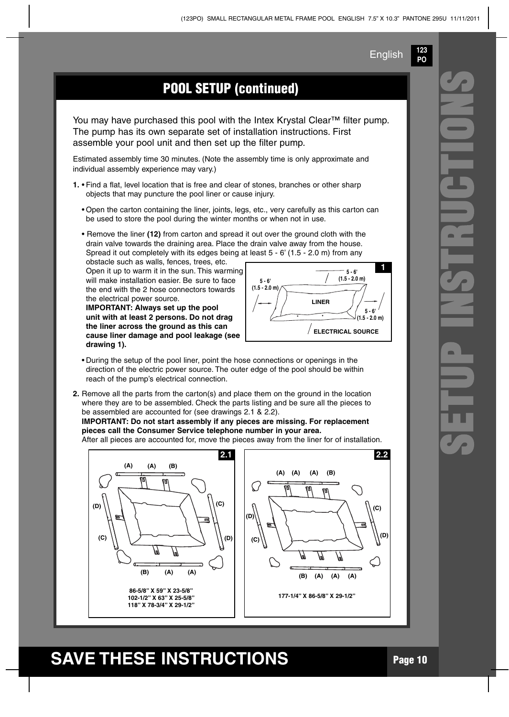**123 PO**

### **POOL SETUP (continued)**

You may have purchased this pool with the Intex Krystal Clear™ filter pump. The pump has its own separate set of installation instructions. First assemble your pool unit and then set up the filter pump.

Estimated assembly time 30 minutes. (Note the assembly time is only approximate and individual assembly experience may vary.)

- **1.** Find a flat, level location that is free and clear of stones, branches or other sharp objects that may puncture the pool liner or cause injury.
	- Open the carton containing the liner, joints, legs, etc., very carefully as this carton can be used to store the pool during the winter months or when not in use.
	- Remove the liner **(12)** from carton and spread it out over the ground cloth with the drain valve towards the draining area. Place the drain valve away from the house. Spread it out completely with its edges being at least 5 - 6' (1.5 - 2.0 m) from any

obstacle such as walls, fences, trees, etc. Open it up to warm it in the sun. This warming will make installation easier. Be sure to face the end with the 2 hose connectors towards the electrical power source.

**IMPORTANT: Always set up the pool unit with at least 2 persons. Do not drag the liner across the ground as this can cause liner damage and pool leakage (see drawing 1).**



- During the setup of the pool liner, point the hose connections or openings in the direction of the electric power source. The outer edge of the pool should be within reach of the pump's electrical connection.
- **2.** Remove all the parts from the carton(s) and place them on the ground in the location where they are to be assembled. Check the parts listing and be sure all the pieces to be assembled are accounted for (see drawings 2.1 & 2.2).

**IMPORTANT: Do not start assembly if any pieces are missing. For replacement pieces call the Consumer Service telephone number in your area.**

After all pieces are accounted for, move the pieces away from the liner for of installation.



### **SAVE THESE INSTRUCTIONS Page <sup>10</sup>**

**S**

**E**

**T**

**U**

**P I**

**N**

**S**

**T**

**R**

**U**

**C**

**T**

**O**

**N**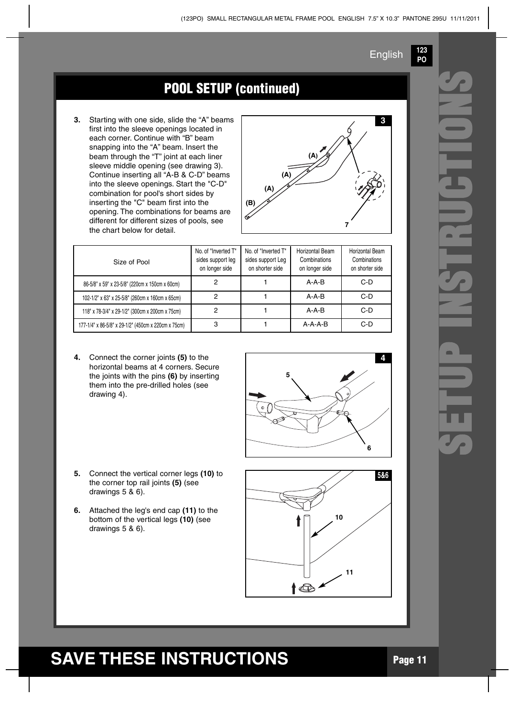**123 PO**

### **POOL SETUP** (continued)

**3.** Starting with one side, slide the "A" beams first into the sleeve openings located in each corner. Continue with "B" beam snapping into the "A" beam. Insert the beam through the "T" joint at each liner sleeve middle opening (see drawing 3). Continue inserting all "A-B & C-D" beams into the sleeve openings. Start the "C-D" combination for pool's short sides by inserting the "C" beam first into the opening. The combinations for beams are different for different sizes of pools, see the chart below for detail.



| Size of Pool                                        | No. of "Inverted T"<br>sides support leg<br>on longer side | No. of "Inverted T"<br>sides support Leg<br>on shorter side | Horizontal Beam<br>Combinations<br>on longer side | Horizontal Beam<br>Combinations<br>on shorter side |
|-----------------------------------------------------|------------------------------------------------------------|-------------------------------------------------------------|---------------------------------------------------|----------------------------------------------------|
| 86-5/8" x 59" x 23-5/8" (220cm x 150cm x 60cm)      |                                                            |                                                             | $A - A - B$                                       | $C-D$                                              |
| 102-1/2" x 63" x 25-5/8" (260cm x 160cm x 65cm)     | 2                                                          |                                                             | $A - A - B$                                       | $C-D$                                              |
| 118" x 78-3/4" x 29-1/2" (300cm x 200cm x 75cm)     | 2                                                          |                                                             | $A - A - B$                                       | $C-D$                                              |
| 177-1/4" x 86-5/8" x 29-1/2" (450cm x 220cm x 75cm) | 3                                                          |                                                             | $A-A-A-B$                                         | $C-D$                                              |

- **4.** Connect the corner joints **(5)** to the horizontal beams at 4 corners. Secure the joints with the pins **(6)** by inserting them into the pre-drilled holes (see drawing 4).
- **5.** Connect the vertical corner legs **(10)** to the corner top rail joints **(5)** (see drawings 5 & 6).
- **6.** Attached the leg's end cap **(11)** to the bottom of the vertical legs **(10)** (see drawings 5 & 6).



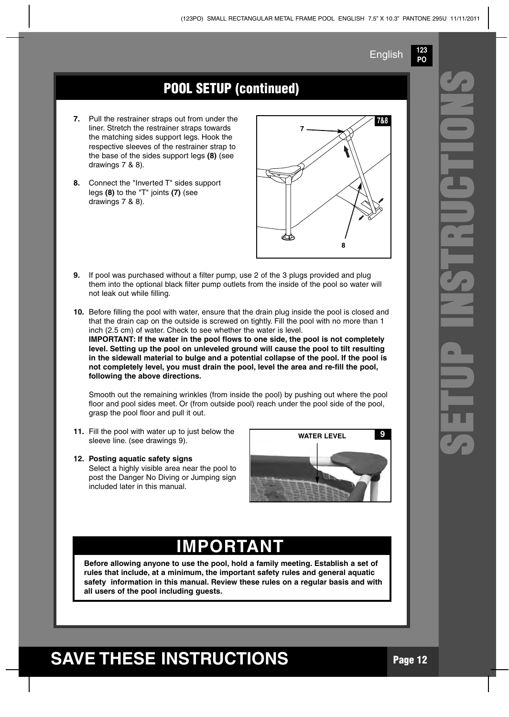**123 PO**

### **POOL SETUP (continued)**

- **7.** Pull the restrainer straps out from under the liner. Stretch the restrainer straps towards the matching sides support legs. Hook the respective sleeves of the restrainer strap to the base of the sides support legs **(8)** (see drawings 7 & 8).
- **8.** Connect the "Inverted T" sides support legs **(8)** to the "T" joints **(7)** (see drawings 7 & 8).



- **9.** If pool was purchased without a filter pump, use 2 of the 3 plugs provided and plug them into the optional black filter pump outlets from the inside of the pool so water will not leak out while filling.
- **10.** Before filling the pool with water, ensure that the drain plug inside the pool is closed and that the drain cap on the outside is screwed on tightly. Fill the pool with no more than 1 inch (2.5 cm) of water. Check to see whether the water is level. **IMPORTANT: If the water in the pool flows to one side, the pool is not completely level. Setting up the pool on unleveled ground will cause the pool to tilt resulting in the sidewall material to bulge and a potential collapse of the pool. If the pool is**

**not completely level, you must drain the pool, level the area and re-fill the pool, following the above directions.**

Smooth out the remaining wrinkles (from inside the pool) by pushing out where the pool floor and pool sides meet. Or (from outside pool) reach under the pool side of the pool, grasp the pool floor and pull it out.

- **11.** Fill the pool with water up to just below the sleeve line. (see drawings 9).
- **12. Posting aquatic safety signs** Select a highly visible area near the pool to post the Danger No Diving or Jumping sign included later in this manual.



### **IMPORTANT**

**Before allowing anyone to use the pool, hold a family meeting. Establish a set of rules that include, at a minimum, the important safety rules and general aquatic safety information in this manual. Review these rules on a regular basis and with all users of the pool including guests.**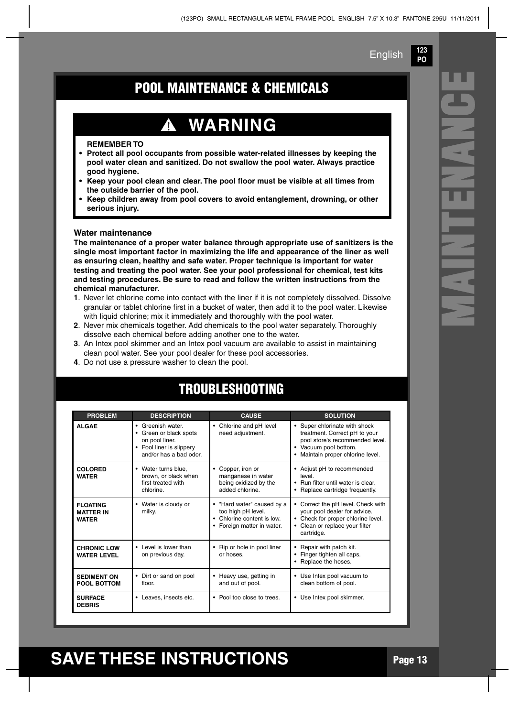**123 PO**

**M**

**A**

**N**

**T**

**E**

**N**

**A**

**N**

**C**

**E**

### **POOL MAINTENANCE & CHEMICALS**

# **WARNING**

#### **REMEMBER TO**

- **• Protect all pool occupants from possible water-related illnesses by keeping the pool water clean and sanitized. Do not swallow the pool water. Always practice good hygiene.**
- **• Keep your pool clean and clear. The pool floor must be visible at all times from the outside barrier of the pool.**
- **• Keep children away from pool covers to avoid entanglement, drowning, or other serious injury.**

#### **Water maintenance**

**The maintenance of a proper water balance through appropriate use of sanitizers is the single most important factor in maximizing the life and appearance of the liner as well as ensuring clean, healthy and safe water. Proper technique is important for water testing and treating the pool water. See your pool professional for chemical, test kits and testing procedures. Be sure to read and follow the written instructions from the chemical manufacturer.**

- **1**. Never let chlorine come into contact with the liner if it is not completely dissolved. Dissolve granular or tablet chlorine first in a bucket of water, then add it to the pool water. Likewise with liquid chlorine; mix it immediately and thoroughly with the pool water.
- **2**. Never mix chemicals together. Add chemicals to the pool water separately. Thoroughly dissolve each chemical before adding another one to the water.
- **3**. An Intex pool skimmer and an Intex pool vacuum are available to assist in maintaining clean pool water. See your pool dealer for these pool accessories.
- **4**. Do not use a pressure washer to clean the pool.

| <b>PROBLEM</b>                                      | <b>DESCRIPTION</b>                                                                                                 | <b>CAUSE</b>                                                                                                    | <b>SOLUTION</b>                                                                                                                                             |
|-----------------------------------------------------|--------------------------------------------------------------------------------------------------------------------|-----------------------------------------------------------------------------------------------------------------|-------------------------------------------------------------------------------------------------------------------------------------------------------------|
| <b>ALGAE</b>                                        | • Greenish water<br>• Green or black spots<br>on pool liner.<br>• Pool liner is slippery<br>and/or has a bad odor. | • Chlorine and pH level<br>need adjustment.                                                                     | Super chlorinate with shock<br>treatment. Correct pH to your<br>pool store's recommended level.<br>• Vacuum pool bottom.<br>Maintain proper chlorine level. |
| <b>COLORED</b><br><b>WATER</b>                      | • Water turns blue.<br>brown, or black when<br>first treated with<br>chlorine.                                     | Copper, iron or<br>٠<br>manganese in water<br>being oxidized by the<br>added chlorine.                          | • Adjust pH to recommended<br>level<br>• Run filter until water is clear<br>Replace cartridge frequently.                                                   |
| <b>FLOATING</b><br><b>MATTER IN</b><br><b>WATER</b> | Water is cloudy or<br>٠<br>milky.                                                                                  | • "Hard water" caused by a<br>too high pH level.<br>• Chlorine content is low.<br>Foreign matter in water.<br>٠ | Correct the pH level. Check with<br>your pool dealer for advice.<br>• Check for proper chlorine level.<br>Clean or replace your filter<br>cartridge.        |
| <b>CHRONIC LOW</b><br><b>WATER LEVEL</b>            | • Level is lower than<br>on previous day.                                                                          | • Rip or hole in pool liner<br>or hoses.                                                                        | Repair with patch kit.<br>Finger tighten all caps.<br>٠<br>Replace the hoses.                                                                               |
| <b>SEDIMENT ON</b><br>POOL BOTTOM                   | • Dirt or sand on pool<br>floor.                                                                                   | • Heavy use, getting in<br>and out of pool.                                                                     | Use Intex pool vacuum to<br>٠<br>clean bottom of pool.                                                                                                      |
| <b>SURFACE</b><br><b>DEBRIS</b>                     | • Leaves, insects etc.                                                                                             | • Pool too close to trees.                                                                                      | • Use Intex pool skimmer.                                                                                                                                   |

### **TROUBLESHOOTING**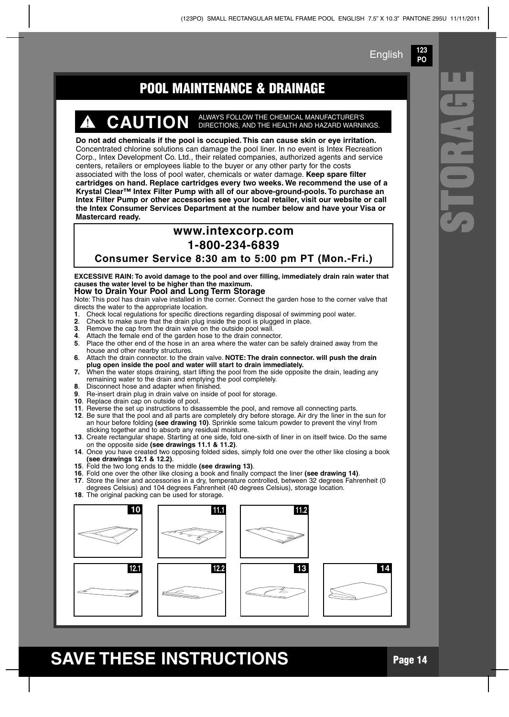**123 PO**

**S**

**T**

**O**

**R**

**A**

**G**

### **POOL MAINTENANCE & DRAINAGE E**

# **CAUTION** ALWAYS FOLLOW THE CHEMICAL MANUFACTURER'S DIRECTIONS, AND THE HEALTH AND HAZARD WARNINGS.

**Do not add chemicals if the pool is occupied. This can cause skin or eye irritation.** Concentrated chlorine solutions can damage the pool liner. In no event is Intex Recreation Corp., Intex Development Co. Ltd., their related companies, authorized agents and service centers, retailers or employees liable to the buyer or any other party for the costs associated with the loss of pool water, chemicals or water damage. **Keep spare filter cartridges on hand. Replace cartridges every two weeks. We recommend the use of a Krystal Clear™ Intex Filter Pump with all of our above-ground-pools. To purchase an Intex Filter Pump or other accessories see your local retailer, visit our website or call the Intex Consumer Services Department at the number below and have your Visa or Mastercard ready.**

#### **www.intexcorp.com**

#### **1-800-234-6839**

**Consumer Service 8:30 am to 5:00 pm PT (Mon.-Fri.)**

**EXCESSIVE RAIN: To avoid damage to the pool and over filling, immediately drain rain water that causes the water level to be higher than the maximum.**

#### **How to Drain Your Pool and Long Term Storage**

Note: This pool has drain valve installed in the corner. Connect the garden hose to the corner valve that directs the water to the appropriate location.<br>1. Check local requisitions for specific direct

- **1**. Check local regulations for specific directions regarding disposal of swimming pool water.
- **2.** Check to make sure that the drain plug inside the pool is plugged in place.<br>**3.** Bemove the can from the drain valve on the outside pool wall
- **3**. Remove the cap from the drain valve on the outside pool wall.
- **4.** Attach the female end of the garden hose to the drain connector.<br>**5.** Place the other end of the hose in an area where the water can l
- **5**. Place the other end of the hose in an area where the water can be safely drained away from the house and other nearby structures.
- **6**. Attach the drain connector. to the drain valve. **NOTE: The drain connector. will push the drain plug open inside the pool and water will start to drain immediately.**
- **7.** When the water stops draining, start lifting the pool from the side opposite the drain, leading any remaining water to the drain and emptying the pool completely.
- **8**. Disconnect hose and adapter when finished.
- **9**. Re-insert drain plug in drain valve on inside of pool for storage.
- **10**. Replace drain cap on outside of pool.
- **11**. Reverse the set up instructions to disassemble the pool, and remove all connecting parts.
- **12**. Be sure that the pool and all parts are completely dry before storage. Air dry the liner in the sun for an hour before folding **(see drawing 10)**. Sprinkle some talcum powder to prevent the vinyl from sticking together and to absorb any residual moisture.
- **13**. Create rectangular shape. Starting at one side, fold one-sixth of liner in on itself twice. Do the same on the opposite side **(see drawings 11.1 & 11.2)**.
- **14**. Once you have created two opposing folded sides, simply fold one over the other like closing a book **(see drawings 12.1 & 12.2)**.
- **15**. Fold the two long ends to the middle **(see drawing 13)**.
- **16**. Fold one over the other like closing a book and finally compact the liner **(see drawing 14)**. **17**. Store the liner and accessories in a dry, temperature controlled, between 32 degrees Fahrenheit (0 degrees Celsius) and 104 degrees Fahrenheit (40 degrees Celsius), storage location.
- 18. The original packing can be used for storage.

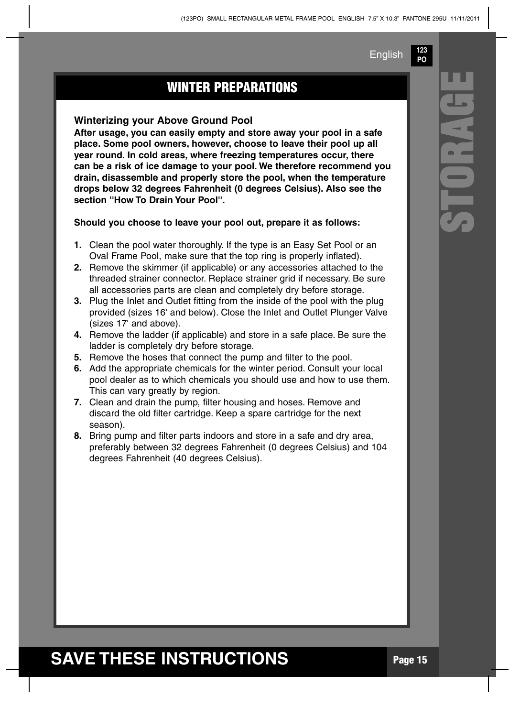**123 PO**

### **WINTER PREPARATIONS**

#### **Winterizing your Above Ground Pool**

**After usage, you can easily empty and store away your pool in a safe place. Some pool owners, however, choose to leave their pool up all year round. In cold areas, where freezing temperatures occur, there can be a risk of ice damage to your pool. We therefore recommend you drain, disassemble and properly store the pool, when the temperature drops below 32 degrees Fahrenheit (0 degrees Celsius). Also see the section ''How To Drain Your Pool''.**

**Should you choose to leave your pool out, prepare it as follows:**

- **1.** Clean the pool water thoroughly. If the type is an Easy Set Pool or an Oval Frame Pool, make sure that the top ring is properly inflated).
- **2.** Remove the skimmer (if applicable) or any accessories attached to the threaded strainer connector. Replace strainer grid if necessary. Be sure all accessories parts are clean and completely dry before storage.
- **3.** Plug the Inlet and Outlet fitting from the inside of the pool with the plug provided (sizes 16' and below). Close the Inlet and Outlet Plunger Valve (sizes 17' and above).
- **4.** Remove the ladder (if applicable) and store in a safe place. Be sure the ladder is completely dry before storage.
- **5.** Remove the hoses that connect the pump and filter to the pool.
- **6.** Add the appropriate chemicals for the winter period. Consult your local pool dealer as to which chemicals you should use and how to use them. This can vary greatly by region.
- **7.** Clean and drain the pump, filter housing and hoses. Remove and discard the old filter cartridge. Keep a spare cartridge for the next season).
- **8.** Bring pump and filter parts indoors and store in a safe and dry area, preferably between 32 degrees Fahrenheit (0 degrees Celsius) and 104 degrees Fahrenheit (40 degrees Celsius).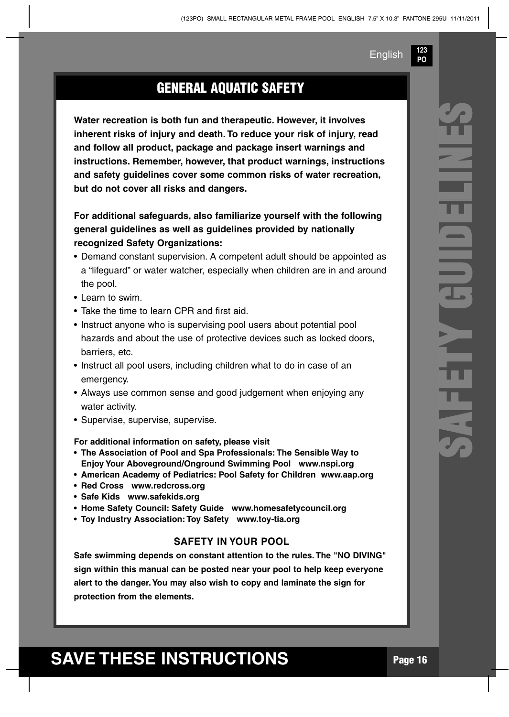**123 PO**

### **GENERAL AQUATIC SAFETY**

**Water recreation is both fun and therapeutic. However, it involves inherent risks of injury and death. To reduce your risk of injury, read and follow all product, package and package insert warnings and instructions. Remember, however, that product warnings, instructions and safety guidelines cover some common risks of water recreation, but do not cover all risks and dangers.**

**For additional safeguards, also familiarize yourself with the following general guidelines as well as guidelines provided by nationally recognized Safety Organizations:**

- Demand constant supervision. A competent adult should be appointed as a "lifeguard" or water watcher, especially when children are in and around the pool.
- Learn to swim.
- Take the time to learn CPR and first aid.
- Instruct anyone who is supervising pool users about potential pool hazards and about the use of protective devices such as locked doors, barriers, etc.
- Instruct all pool users, including children what to do in case of an emergency.
- Always use common sense and good judgement when enjoying any water activity.
- Supervise, supervise, supervise.

**For additional information on safety, please visit**

- **• The Association of Pool and Spa Professionals: The Sensible Way to Enjoy Your Aboveground/Onground Swimming Pool www.nspi.org**
- **• American Academy of Pediatrics: Pool Safety for Children www.aap.org**
- **• Red Cross www.redcross.org**
- **• Safe Kids www.safekids.org**
- **• Home Safety Council: Safety Guide www.homesafetycouncil.org**
- **• Toy Industry Association: Toy Safety www.toy-tia.org**

#### **SAFETY IN YOUR POOL**

**Safe swimming depends on constant attention to the rules. The "NO DIVING" sign within this manual can be posted near your pool to help keep everyone alert to the danger.You may also wish to copy and laminate the sign for protection from the elements.**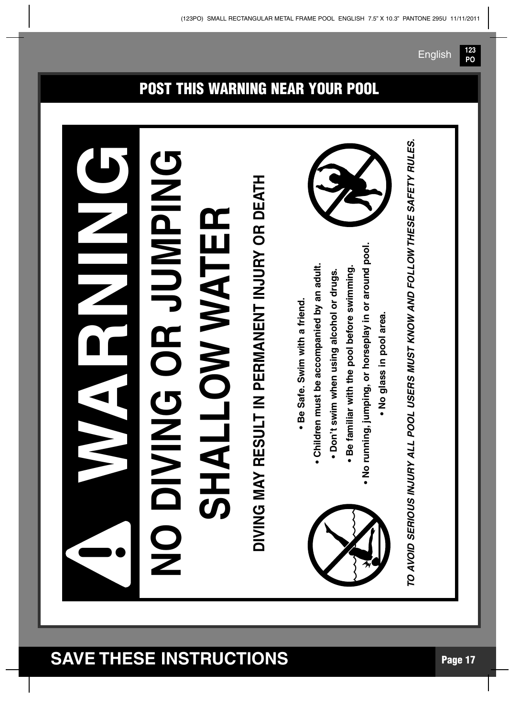#### **WARNNGNO D I V I N G O R J U M P I N G SH A L L O W WAT E R DIVIN G M AY R E** <u>(၇</u> **D LT IN P E R M A N E N T IN J U R Y O R D E AT H • B e** <u>(</u> **afe. S wim with a frie n d. • C hildre n m u st b e a c c o m p a nie d b y a n a d ult. • D o n't s wim w h e n u sin g alc o h ol or dru g s. • B e fa miliar with th e p o ol b efore s wim min g. • N o ru n nin g, ju m pin g, or h ors e pla y in or aro u n** <u>ত</u> **p o ol. • N o gla s s in p o ol are a.** *VOID S ERIO US INJ UR Y A L L POOL US ER S M US T KNO W A ND FOL L O* ≨ *THES E SA FE T Y R UL ES.* **!**

### **POST THIS WARNING NEAR YOUR POOL**

*TO A*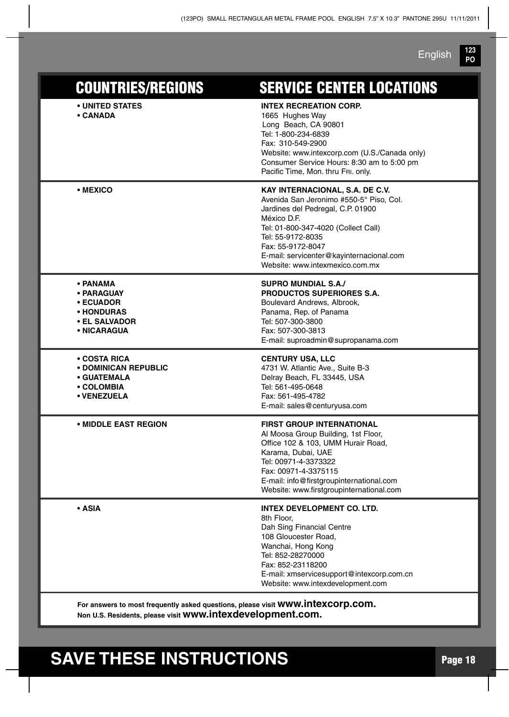**123 PO** English

| <b>COUNTRIES/REGIONS</b>                                                                       | <b>SERVICE CENTER LOCATIONS</b>                                                                                                                                                                                                                                                                |
|------------------------------------------------------------------------------------------------|------------------------------------------------------------------------------------------------------------------------------------------------------------------------------------------------------------------------------------------------------------------------------------------------|
| • UNITED STATES<br>• CANADA                                                                    | <b>INTEX RECREATION CORP.</b><br>1665 Hughes Way<br>Long Beach, CA 90801<br>Tel: 1-800-234-6839<br>Fax: 310-549-2900<br>Website: www.intexcorp.com (U.S./Canada only)<br>Consumer Service Hours: 8:30 am to 5:00 pm<br>Pacific Time, Mon. thru FRI. only.                                      |
| • MEXICO                                                                                       | KAY INTERNACIONAL, S.A. DE C.V.<br>Avenida San Jeronimo #550-5° Piso, Col.<br>Jardines del Pedregal, C.P. 01900<br>México D.F.<br>Tel: 01-800-347-4020 (Collect Call)<br>Tel: 55-9172-8035<br>Fax: 55-9172-8047<br>E-mail: servicenter@kayinternacional.com<br>Website: www.intexmexico.com.mx |
| • PANAMA<br>• PARAGUAY<br>• ECUADOR<br>∙ HONDURAS<br>• EL SALVADOR<br>• NICARAGUA              | <b>SUPRO MUNDIAL S.A./</b><br><b>PRODUCTOS SUPERIORES S.A.</b><br>Boulevard Andrews, Albrook,<br>Panama, Rep. of Panama<br>Tel: 507-300-3800<br>Fax: 507-300-3813<br>E-mail: suproadmin@supropanama.com                                                                                        |
| • COSTA RICA<br><b>• DOMINICAN REPUBLIC</b><br><b>• GUATEMALA</b><br>• COLOMBIA<br>• VENEZUELA | <b>CENTURY USA, LLC</b><br>4731 W. Atlantic Ave., Suite B-3<br>Delray Beach, FL 33445, USA<br>Tel: 561-495-0648<br>Fax: 561-495-4782<br>E-mail: sales@centuryusa.com                                                                                                                           |
| • MIDDLE EAST REGION                                                                           | <b>FIRST GROUP INTERNATIONAL</b><br>Al Moosa Group Building, 1st Floor,<br>Office 102 & 103, UMM Hurair Road,<br>Karama, Dubai, UAE<br>Tel: 00971-4-3373322<br>Fax: 00971-4-3375115<br>E-mail: info@firstgroupinternational.com<br>Website: www.firstgroupinternational.com                    |
| $\cdot$ ASIA                                                                                   | <b>INTEX DEVELOPMENT CO. LTD.</b><br>8th Floor,<br>Dah Sing Financial Centre<br>108 Gloucester Road,<br>Wanchai, Hong Kong<br>Tel: 852-28270000<br>Fax: 852-23118200<br>E-mail: xmservicesupport@intexcorp.com.cn<br>Website: www.intexdevelopment.com                                         |

**For answers to most frequently asked questions, please visit www.intexcorp.com. Non U.S. Residents, please visit www.intexdevelopment.com.**